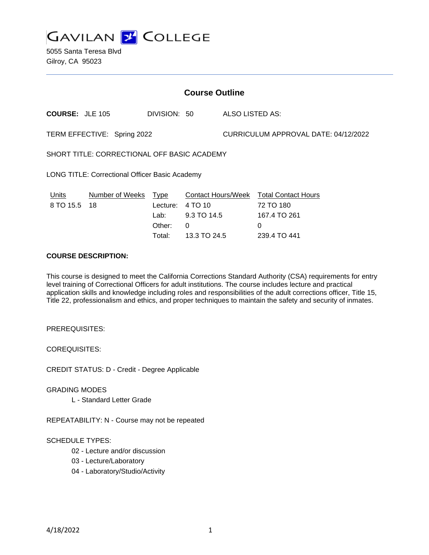

5055 Santa Teresa Blvd Gilroy, CA 95023

| <b>Course Outline</b>                                 |                       |                  |                                      |                                      |                                         |
|-------------------------------------------------------|-----------------------|------------------|--------------------------------------|--------------------------------------|-----------------------------------------|
| <b>COURSE: JLE 105</b>                                |                       | DIVISION: 50     |                                      | ALSO LISTED AS:                      |                                         |
| TERM EFFECTIVE: Spring 2022                           |                       |                  |                                      | CURRICULUM APPROVAL DATE: 04/12/2022 |                                         |
| SHORT TITLE: CORRECTIONAL OFF BASIC ACADEMY           |                       |                  |                                      |                                      |                                         |
| <b>LONG TITLE: Correctional Officer Basic Academy</b> |                       |                  |                                      |                                      |                                         |
| Units<br>8 TO 15.5                                    | Number of Weeks<br>18 | Type<br>Lecture: | <b>Contact Hours/Week</b><br>4 TO 10 |                                      | <b>Total Contact Hours</b><br>72 TO 180 |
|                                                       |                       | Lab:             | 9.3 TO 14.5                          |                                      | 167.4 TO 261                            |
|                                                       |                       | Other:           | 0                                    |                                      | 0                                       |
|                                                       |                       | Total:           | 13.3 TO 24.5                         |                                      | 239.4 TO 441                            |

#### **COURSE DESCRIPTION:**

This course is designed to meet the California Corrections Standard Authority (CSA) requirements for entry level training of Correctional Officers for adult institutions. The course includes lecture and practical application skills and knowledge including roles and responsibilities of the adult corrections officer, Title 15, Title 22, professionalism and ethics, and proper techniques to maintain the safety and security of inmates.

PREREQUISITES:

COREQUISITES:

CREDIT STATUS: D - Credit - Degree Applicable

GRADING MODES

L - Standard Letter Grade

REPEATABILITY: N - Course may not be repeated

SCHEDULE TYPES:

02 - Lecture and/or discussion

03 - Lecture/Laboratory

04 - Laboratory/Studio/Activity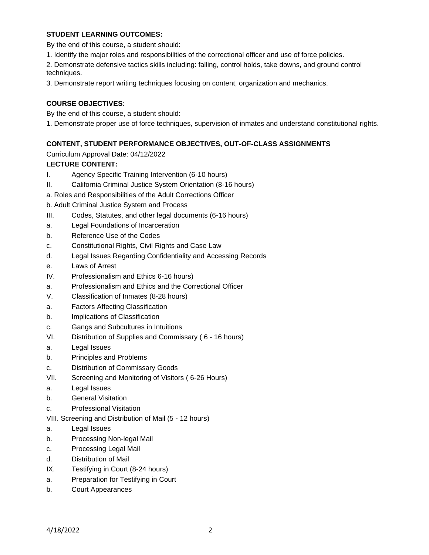### **STUDENT LEARNING OUTCOMES:**

By the end of this course, a student should:

1. Identify the major roles and responsibilities of the correctional officer and use of force policies.

2. Demonstrate defensive tactics skills including: falling, control holds, take downs, and ground control techniques.

3. Demonstrate report writing techniques focusing on content, organization and mechanics.

## **COURSE OBJECTIVES:**

By the end of this course, a student should:

1. Demonstrate proper use of force techniques, supervision of inmates and understand constitutional rights.

## **CONTENT, STUDENT PERFORMANCE OBJECTIVES, OUT-OF-CLASS ASSIGNMENTS**

Curriculum Approval Date: 04/12/2022

## **LECTURE CONTENT:**

- I. Agency Specific Training Intervention (6-10 hours)
- II. California Criminal Justice System Orientation (8-16 hours)
- a. Roles and Responsibilities of the Adult Corrections Officer

b. Adult Criminal Justice System and Process

- III. Codes, Statutes, and other legal documents (6-16 hours)
- a. Legal Foundations of Incarceration
- b. Reference Use of the Codes
- c. Constitutional Rights, Civil Rights and Case Law
- d. Legal Issues Regarding Confidentiality and Accessing Records
- e. Laws of Arrest
- IV. Professionalism and Ethics 6-16 hours)
- a. Professionalism and Ethics and the Correctional Officer
- V. Classification of Inmates (8-28 hours)
- a. Factors Affecting Classification
- b. Implications of Classification
- c. Gangs and Subcultures in Intuitions
- VI. Distribution of Supplies and Commissary ( 6 16 hours)
- a. Legal Issues
- b. Principles and Problems
- c. Distribution of Commissary Goods
- VII. Screening and Monitoring of Visitors ( 6-26 Hours)
- a. Legal Issues
- b. General Visitation
- c. Professional Visitation
- VIII. Screening and Distribution of Mail (5 12 hours)
- a. Legal Issues
- b. Processing Non-legal Mail
- c. Processing Legal Mail
- d. Distribution of Mail
- IX. Testifying in Court (8-24 hours)
- a. Preparation for Testifying in Court
- b. Court Appearances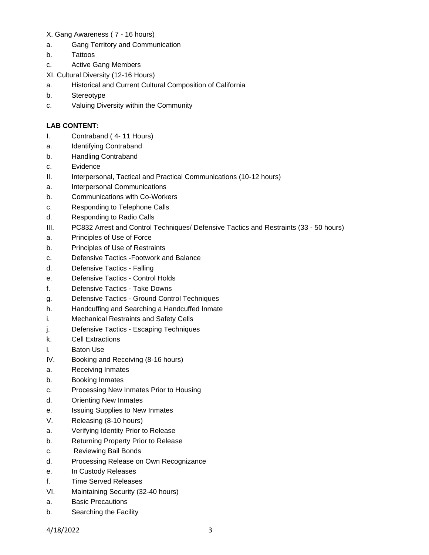### X. Gang Awareness ( 7 - 16 hours)

- a. Gang Territory and Communication
- b. Tattoos
- c. Active Gang Members
- XI. Cultural Diversity (12-16 Hours)
- a. Historical and Current Cultural Composition of California
- b. Stereotype
- c. Valuing Diversity within the Community

# **LAB CONTENT:**

- I. Contraband ( 4- 11 Hours)
- a. Identifying Contraband
- b. Handling Contraband
- c. Evidence
- II. Interpersonal, Tactical and Practical Communications (10-12 hours)
- a. Interpersonal Communications
- b. Communications with Co-Workers
- c. Responding to Telephone Calls
- d. Responding to Radio Calls
- III. PC832 Arrest and Control Techniques/ Defensive Tactics and Restraints (33 50 hours)
- a. Principles of Use of Force
- b. Principles of Use of Restraints
- c. Defensive Tactics -Footwork and Balance
- d. Defensive Tactics Falling
- e. Defensive Tactics Control Holds
- f. Defensive Tactics Take Downs
- g. Defensive Tactics Ground Control Techniques
- h. Handcuffing and Searching a Handcuffed Inmate
- i. Mechanical Restraints and Safety Cells
- j. Defensive Tactics Escaping Techniques
- k. Cell Extractions
- l. Baton Use
- IV. Booking and Receiving (8-16 hours)
- a. Receiving Inmates
- b. Booking Inmates
- c. Processing New Inmates Prior to Housing
- d. Orienting New Inmates
- e. Issuing Supplies to New Inmates
- V. Releasing (8-10 hours)
- a. Verifying Identity Prior to Release
- b. Returning Property Prior to Release
- c. Reviewing Bail Bonds
- d. Processing Release on Own Recognizance
- e. In Custody Releases
- f. Time Served Releases
- VI. Maintaining Security (32-40 hours)
- a. Basic Precautions
- b. Searching the Facility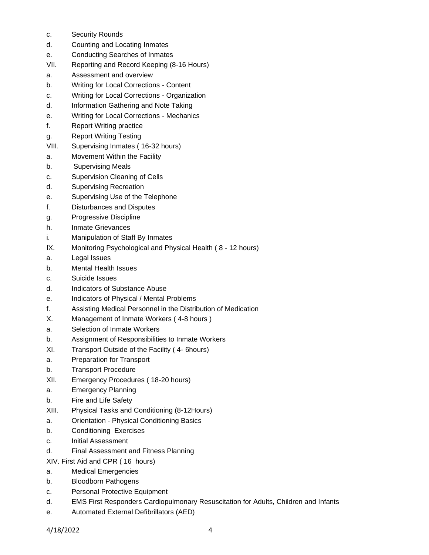- c. Security Rounds
- d. Counting and Locating Inmates
- e. Conducting Searches of Inmates
- VII. Reporting and Record Keeping (8-16 Hours)
- a. Assessment and overview
- b. Writing for Local Corrections Content
- c. Writing for Local Corrections Organization
- d. Information Gathering and Note Taking
- e. Writing for Local Corrections Mechanics
- f. Report Writing practice
- g. Report Writing Testing
- VIII. Supervising Inmates ( 16-32 hours)
- a. Movement Within the Facility
- b. Supervising Meals
- c. Supervision Cleaning of Cells
- d. Supervising Recreation
- e. Supervising Use of the Telephone
- f. Disturbances and Disputes
- g. Progressive Discipline
- h. Inmate Grievances
- i. Manipulation of Staff By Inmates
- IX. Monitoring Psychological and Physical Health ( 8 12 hours)
- a. Legal Issues
- b. Mental Health Issues
- c. Suicide Issues
- d. Indicators of Substance Abuse
- e. Indicators of Physical / Mental Problems
- f. Assisting Medical Personnel in the Distribution of Medication
- X. Management of Inmate Workers ( 4-8 hours )
- a. Selection of Inmate Workers
- b. Assignment of Responsibilities to Inmate Workers
- XI. Transport Outside of the Facility ( 4- 6hours)
- a. Preparation for Transport
- b. Transport Procedure
- XII. Emergency Procedures ( 18-20 hours)
- a. Emergency Planning
- b. Fire and Life Safety
- XIII. Physical Tasks and Conditioning (8-12Hours)
- a. Orientation Physical Conditioning Basics
- b. Conditioning Exercises
- c. Initial Assessment
- d. Final Assessment and Fitness Planning
- XIV. First Aid and CPR ( 16 hours)
- a. Medical Emergencies
- b. Bloodborn Pathogens
- c. Personal Protective Equipment
- d. EMS First Responders Cardiopulmonary Resuscitation for Adults, Children and Infants
- e. Automated External Defibrillators (AED)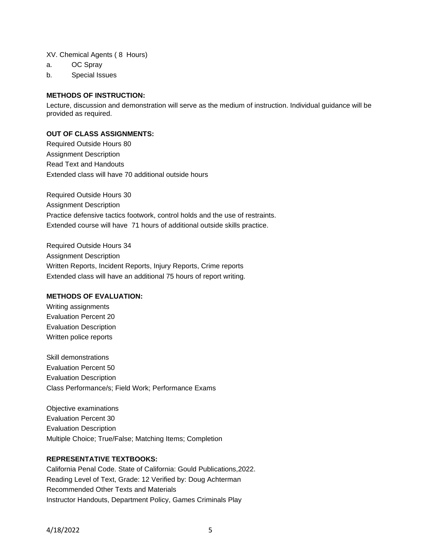XV. Chemical Agents ( 8 Hours)

- a. OC Spray
- b. Special Issues

#### **METHODS OF INSTRUCTION:**

Lecture, discussion and demonstration will serve as the medium of instruction. Individual guidance will be provided as required.

#### **OUT OF CLASS ASSIGNMENTS:**

Required Outside Hours 80 Assignment Description Read Text and Handouts Extended class will have 70 additional outside hours

Required Outside Hours 30 Assignment Description Practice defensive tactics footwork, control holds and the use of restraints. Extended course will have 71 hours of additional outside skills practice.

Required Outside Hours 34 Assignment Description Written Reports, Incident Reports, Injury Reports, Crime reports Extended class will have an additional 75 hours of report writing.

#### **METHODS OF EVALUATION:**

Writing assignments Evaluation Percent 20 Evaluation Description Written police reports

Skill demonstrations Evaluation Percent 50 Evaluation Description Class Performance/s; Field Work; Performance Exams

Objective examinations Evaluation Percent 30 Evaluation Description Multiple Choice; True/False; Matching Items; Completion

#### **REPRESENTATIVE TEXTBOOKS:**

California Penal Code. State of California: Gould Publications,2022. Reading Level of Text, Grade: 12 Verified by: Doug Achterman Recommended Other Texts and Materials Instructor Handouts, Department Policy, Games Criminals Play